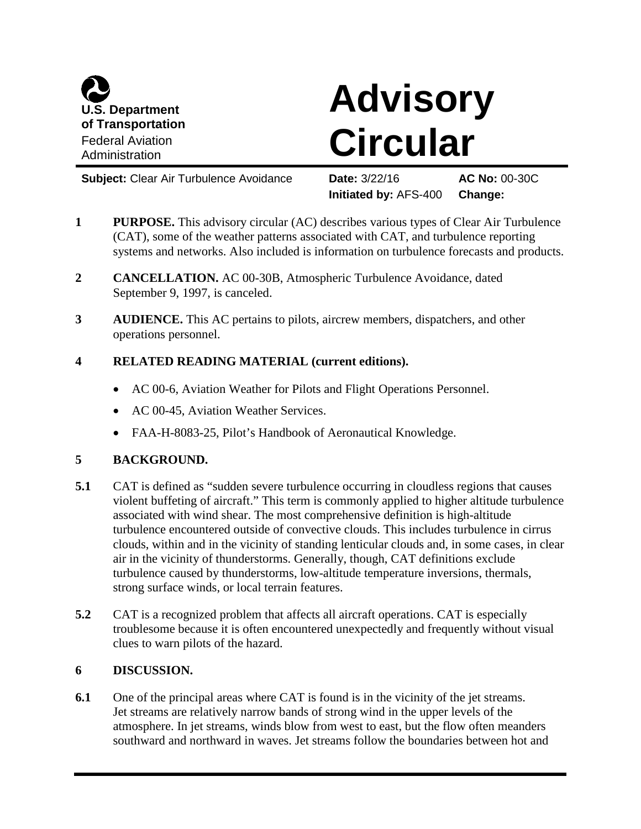

# **Advisory Circular**

**Subject:** Clear Air Turbulence Avoidance **Date:** 3/22/16 **AC No:** 00-30C

**Initiated by:** AFS-400 **Change:**

- **1 PURPOSE.** This advisory circular (AC) describes various types of Clear Air Turbulence (CAT), some of the weather patterns associated with CAT, and turbulence reporting systems and networks. Also included is information on turbulence forecasts and products.
- **2 CANCELLATION.** AC 00-30B, Atmospheric Turbulence Avoidance, dated September 9, 1997, is canceled.
- **3 AUDIENCE.** This AC pertains to pilots, aircrew members, dispatchers, and other operations personnel.

# **4 RELATED READING MATERIAL (current editions).**

- AC 00-6, Aviation Weather for Pilots and Flight Operations Personnel.
- AC 00-45, Aviation Weather Services.
- FAA-H-8083-25, Pilot's Handbook of Aeronautical Knowledge.

## **5 BACKGROUND.**

- **5.1** CAT is defined as "sudden severe turbulence occurring in cloudless regions that causes violent buffeting of aircraft." This term is commonly applied to higher altitude turbulence associated with wind shear. The most comprehensive definition is high-altitude turbulence encountered outside of convective clouds. This includes turbulence in cirrus clouds, within and in the vicinity of standing lenticular clouds and, in some cases, in clear air in the vicinity of thunderstorms. Generally, though, CAT definitions exclude turbulence caused by thunderstorms, low-altitude temperature inversions, thermals, strong surface winds, or local terrain features.
- **5.2** CAT is a recognized problem that affects all aircraft operations. CAT is especially troublesome because it is often encountered unexpectedly and frequently without visual clues to warn pilots of the hazard.

## **6 DISCUSSION.**

**6.1** One of the principal areas where CAT is found is in the vicinity of the jet streams. Jet streams are relatively narrow bands of strong wind in the upper levels of the atmosphere. In jet streams, winds blow from west to east, but the flow often meanders southward and northward in waves. Jet streams follow the boundaries between hot and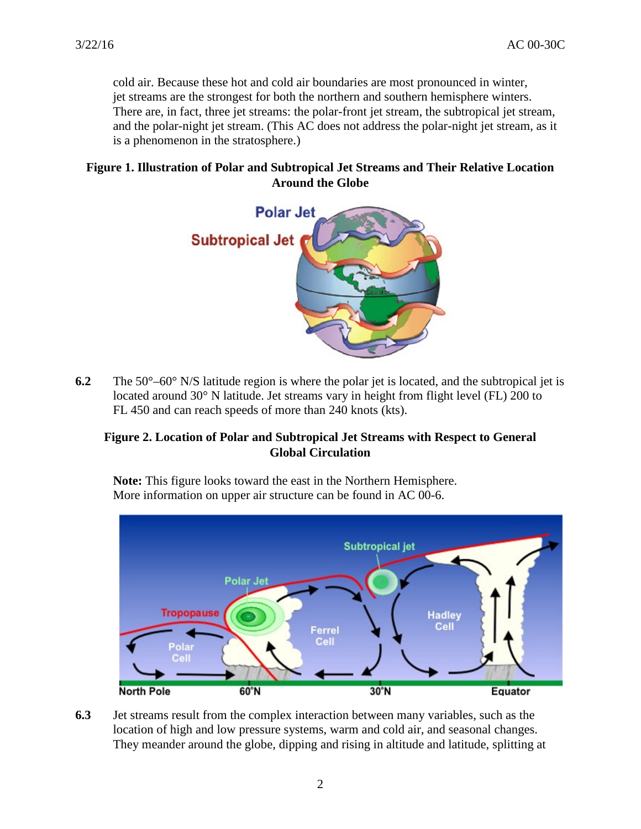cold air. Because these hot and cold air boundaries are most pronounced in winter, jet streams are the strongest for both the northern and southern hemisphere winters. There are, in fact, three jet streams: the polar-front jet stream, the subtropical jet stream, and the polar-night jet stream. (This AC does not address the polar-night jet stream, as it is a phenomenon in the stratosphere.)

## **Figure 1. Illustration of Polar and Subtropical Jet Streams and Their Relative Location Around the Globe**



**6.2** The 50°–60° N/S latitude region is where the polar jet is located, and the subtropical jet is located around 30° N latitude. Jet streams vary in height from flight level (FL) 200 to FL 450 and can reach speeds of more than 240 knots (kts).

## **Figure 2. Location of Polar and Subtropical Jet Streams with Respect to General Global Circulation**

**Note:** This figure looks toward the east in the Northern Hemisphere. More information on upper air structure can be found in AC 00-6.



**6.3** Jet streams result from the complex interaction between many variables, such as the location of high and low pressure systems, warm and cold air, and seasonal changes. They meander around the globe, dipping and rising in altitude and latitude, splitting at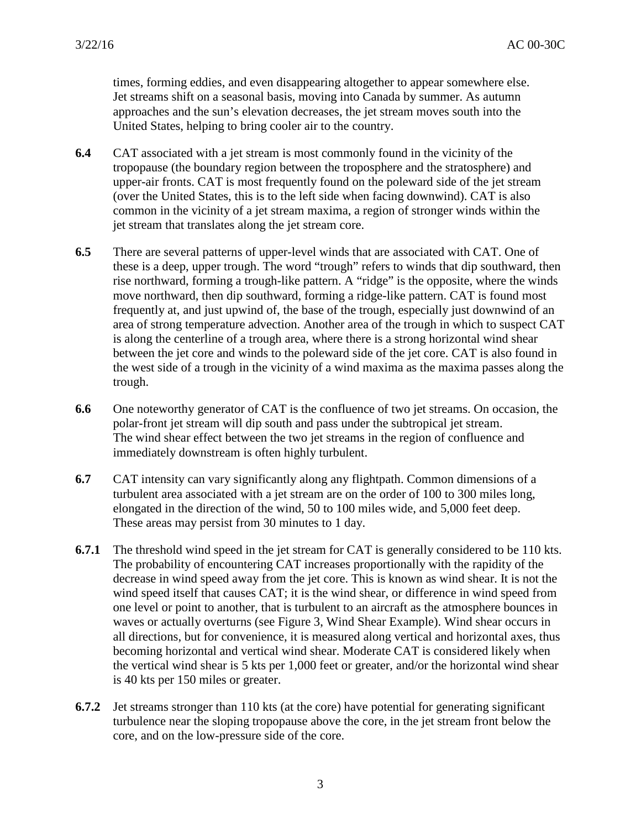times, forming eddies, and even disappearing altogether to appear somewhere else. Jet streams shift on a seasonal basis, moving into Canada by summer. As autumn approaches and the sun's elevation decreases, the jet stream moves south into the United States, helping to bring cooler air to the country.

- **6.4** CAT associated with a jet stream is most commonly found in the vicinity of the tropopause (the boundary region between the troposphere and the stratosphere) and upper-air fronts. CAT is most frequently found on the poleward side of the jet stream (over the United States, this is to the left side when facing downwind). CAT is also common in the vicinity of a jet stream maxima, a region of stronger winds within the jet stream that translates along the jet stream core.
- **6.5** There are several patterns of upper-level winds that are associated with CAT. One of these is a deep, upper trough. The word "trough" refers to winds that dip southward, then rise northward, forming a trough-like pattern. A "ridge" is the opposite, where the winds move northward, then dip southward, forming a ridge-like pattern. CAT is found most frequently at, and just upwind of, the base of the trough, especially just downwind of an area of strong temperature advection. Another area of the trough in which to suspect CAT is along the centerline of a trough area, where there is a strong horizontal wind shear between the jet core and winds to the poleward side of the jet core. CAT is also found in the west side of a trough in the vicinity of a wind maxima as the maxima passes along the trough.
- **6.6** One noteworthy generator of CAT is the confluence of two jet streams. On occasion, the polar-front jet stream will dip south and pass under the subtropical jet stream. The wind shear effect between the two jet streams in the region of confluence and immediately downstream is often highly turbulent.
- **6.7** CAT intensity can vary significantly along any flightpath. Common dimensions of a turbulent area associated with a jet stream are on the order of 100 to 300 miles long, elongated in the direction of the wind, 50 to 100 miles wide, and 5,000 feet deep. These areas may persist from 30 minutes to 1 day.
- **6.7.1** The threshold wind speed in the jet stream for CAT is generally considered to be 110 kts. The probability of encountering CAT increases proportionally with the rapidity of the decrease in wind speed away from the jet core. This is known as wind shear. It is not the wind speed itself that causes CAT; it is the wind shear, or difference in wind speed from one level or point to another, that is turbulent to an aircraft as the atmosphere bounces in waves or actually overturns (see Figure 3, Wind Shear Example). Wind shear occurs in all directions, but for convenience, it is measured along vertical and horizontal axes, thus becoming horizontal and vertical wind shear. Moderate CAT is considered likely when the vertical wind shear is 5 kts per 1,000 feet or greater, and/or the horizontal wind shear is 40 kts per 150 miles or greater.
- **6.7.2** Jet streams stronger than 110 kts (at the core) have potential for generating significant turbulence near the sloping tropopause above the core, in the jet stream front below the core, and on the low-pressure side of the core.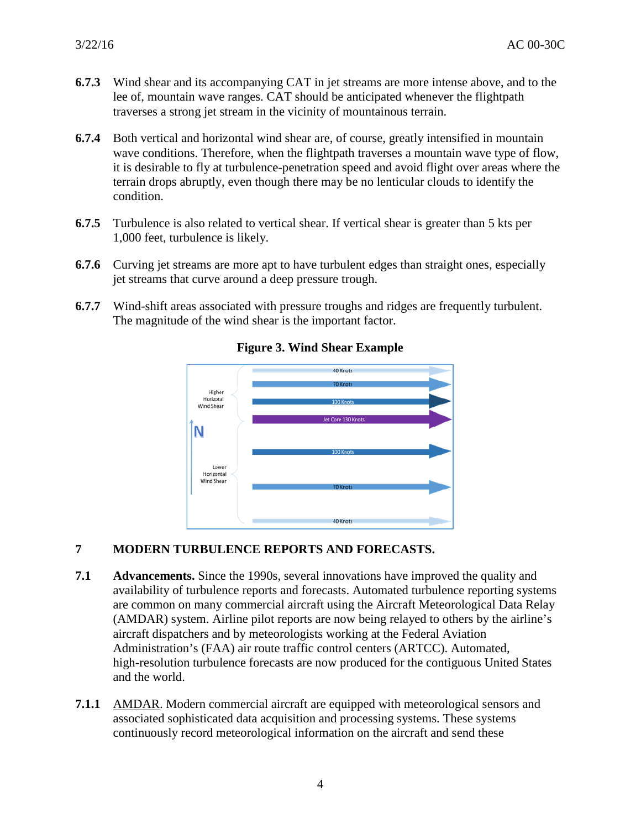- **6.7.3** Wind shear and its accompanying CAT in jet streams are more intense above, and to the lee of, mountain wave ranges. CAT should be anticipated whenever the flightpath traverses a strong jet stream in the vicinity of mountainous terrain.
- **6.7.4** Both vertical and horizontal wind shear are, of course, greatly intensified in mountain wave conditions. Therefore, when the flightpath traverses a mountain wave type of flow, it is desirable to fly at turbulence-penetration speed and avoid flight over areas where the terrain drops abruptly, even though there may be no lenticular clouds to identify the condition.
- **6.7.5** Turbulence is also related to vertical shear. If vertical shear is greater than 5 kts per 1,000 feet, turbulence is likely.
- **6.7.6** Curving jet streams are more apt to have turbulent edges than straight ones, especially jet streams that curve around a deep pressure trough.
- **6.7.7** Wind-shift areas associated with pressure troughs and ridges are frequently turbulent. The magnitude of the wind shear is the important factor.



#### **Figure 3. Wind Shear Example**

#### **7 MODERN TURBULENCE REPORTS AND FORECASTS.**

- **7.1 Advancements.** Since the 1990s, several innovations have improved the quality and availability of turbulence reports and forecasts. Automated turbulence reporting systems are common on many commercial aircraft using the Aircraft Meteorological Data Relay (AMDAR) system. Airline pilot reports are now being relayed to others by the airline's aircraft dispatchers and by meteorologists working at the Federal Aviation Administration's (FAA) air route traffic control centers (ARTCC). Automated, high-resolution turbulence forecasts are now produced for the contiguous United States and the world.
- **7.1.1** AMDAR. Modern commercial aircraft are equipped with meteorological sensors and associated sophisticated data acquisition and processing systems. These systems continuously record meteorological information on the aircraft and send these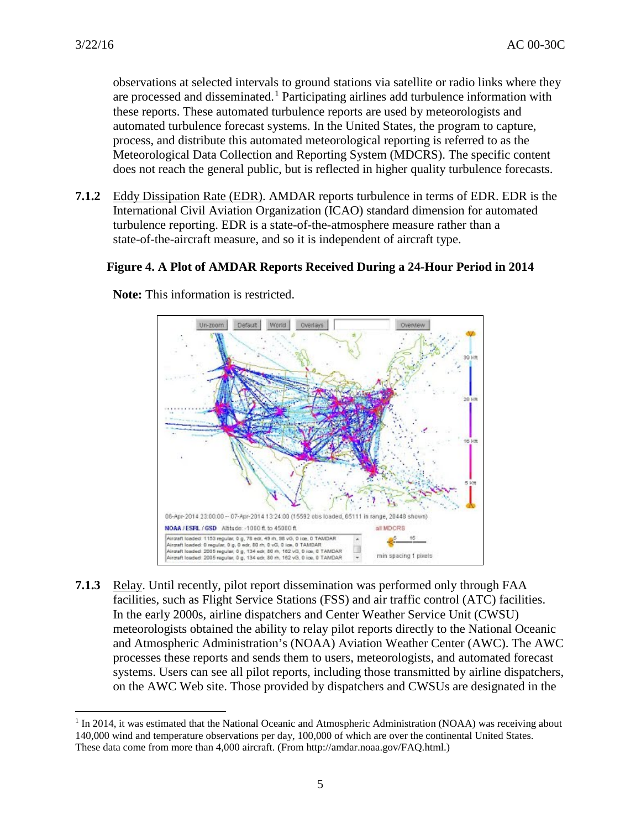observations at selected intervals to ground stations via satellite or radio links where they are processed and disseminated.<sup>[1](#page-4-0)</sup> Participating airlines add turbulence information with these reports. These automated turbulence reports are used by meteorologists and automated turbulence forecast systems. In the United States, the program to capture, process, and distribute this automated meteorological reporting is referred to as the Meteorological Data Collection and Reporting System (MDCRS). The specific content does not reach the general public, but is reflected in higher quality turbulence forecasts.

**7.1.2** Eddy Dissipation Rate (EDR). AMDAR reports turbulence in terms of EDR. EDR is the International Civil Aviation Organization (ICAO) standard dimension for automated turbulence reporting. EDR is a state-of-the-atmosphere measure rather than a state-of-the-aircraft measure, and so it is independent of aircraft type.

#### **Figure 4. A Plot of AMDAR Reports Received During a 24-Hour Period in 2014**



**Note:** This information is restricted.

**7.1.3** Relay. Until recently, pilot report dissemination was performed only through FAA facilities, such as Flight Service Stations (FSS) and air traffic control (ATC) facilities. In the early 2000s, airline dispatchers and Center Weather Service Unit (CWSU) meteorologists obtained the ability to relay pilot reports directly to the National Oceanic and Atmospheric Administration's (NOAA) Aviation Weather Center (AWC). The AWC processes these reports and sends them to users, meteorologists, and automated forecast systems. Users can see all pilot reports, including those transmitted by airline dispatchers, on the AWC Web site. Those provided by dispatchers and CWSUs are designated in the

<span id="page-4-0"></span><sup>&</sup>lt;sup>1</sup> In 2014, it was estimated that the National Oceanic and Atmospheric Administration (NOAA) was receiving about 140,000 wind and temperature observations per day, 100,000 of which are over the continental United States. These data come from more than 4,000 aircraft. (From http://amdar.noaa.gov/FAQ.html.)  $\overline{a}$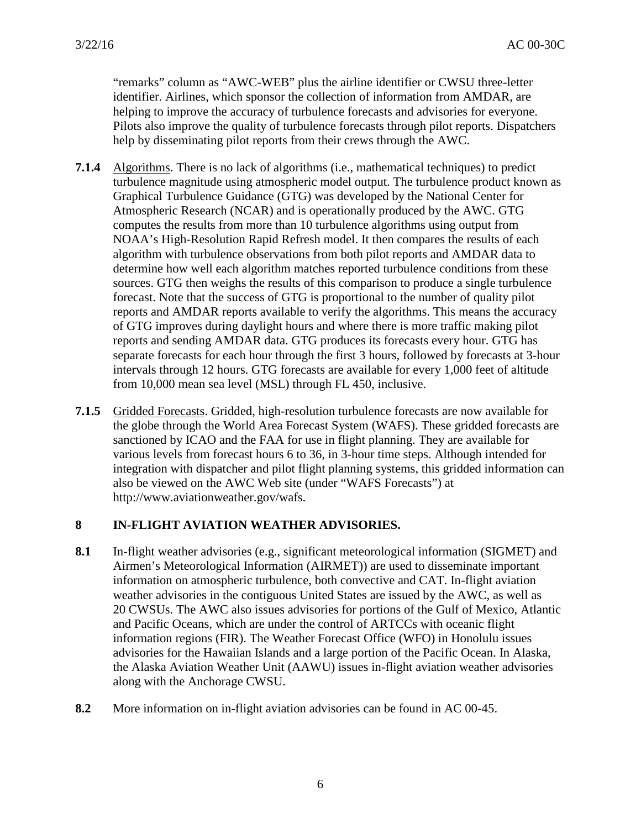"remarks" column as "AWC-WEB" plus the airline identifier or CWSU three-letter identifier. Airlines, which sponsor the collection of information from AMDAR, are helping to improve the accuracy of turbulence forecasts and advisories for everyone. Pilots also improve the quality of turbulence forecasts through pilot reports. Dispatchers help by disseminating pilot reports from their crews through the AWC.

- **7.1.4** Algorithms. There is no lack of algorithms (i.e., mathematical techniques) to predict turbulence magnitude using atmospheric model output. The turbulence product known as Graphical Turbulence Guidance (GTG) was developed by the National Center for Atmospheric Research (NCAR) and is operationally produced by the AWC. GTG computes the results from more than 10 turbulence algorithms using output from NOAA's High-Resolution Rapid Refresh model. It then compares the results of each algorithm with turbulence observations from both pilot reports and AMDAR data to determine how well each algorithm matches reported turbulence conditions from these sources. GTG then weighs the results of this comparison to produce a single turbulence forecast. Note that the success of GTG is proportional to the number of quality pilot reports and AMDAR reports available to verify the algorithms. This means the accuracy of GTG improves during daylight hours and where there is more traffic making pilot reports and sending AMDAR data. GTG produces its forecasts every hour. GTG has separate forecasts for each hour through the first 3 hours, followed by forecasts at 3-hour intervals through 12 hours. GTG forecasts are available for every 1,000 feet of altitude from 10,000 mean sea level (MSL) through FL 450, inclusive.
- **7.1.5** Gridded Forecasts. Gridded, high-resolution turbulence forecasts are now available for the globe through the World Area Forecast System (WAFS). These gridded forecasts are sanctioned by ICAO and the FAA for use in flight planning. They are available for various levels from forecast hours 6 to 36, in 3-hour time steps. Although intended for integration with dispatcher and pilot flight planning systems, this gridded information can also be viewed on the AWC Web site (under "WAFS Forecasts") at http://www.aviationweather.gov/wafs.

#### **8 IN-FLIGHT AVIATION WEATHER ADVISORIES.**

- **8.1** In-flight weather advisories (e.g., significant meteorological information (SIGMET) and Airmen's Meteorological Information (AIRMET)) are used to disseminate important information on atmospheric turbulence, both convective and CAT. In-flight aviation weather advisories in the contiguous United States are issued by the AWC, as well as 20 CWSUs. The AWC also issues advisories for portions of the Gulf of Mexico, Atlantic and Pacific Oceans, which are under the control of ARTCCs with oceanic flight information regions (FIR). The Weather Forecast Office (WFO) in Honolulu issues advisories for the Hawaiian Islands and a large portion of the Pacific Ocean. In Alaska, the Alaska Aviation Weather Unit (AAWU) issues in-flight aviation weather advisories along with the Anchorage CWSU.
- **8.2** More information on in-flight aviation advisories can be found in AC 00-45.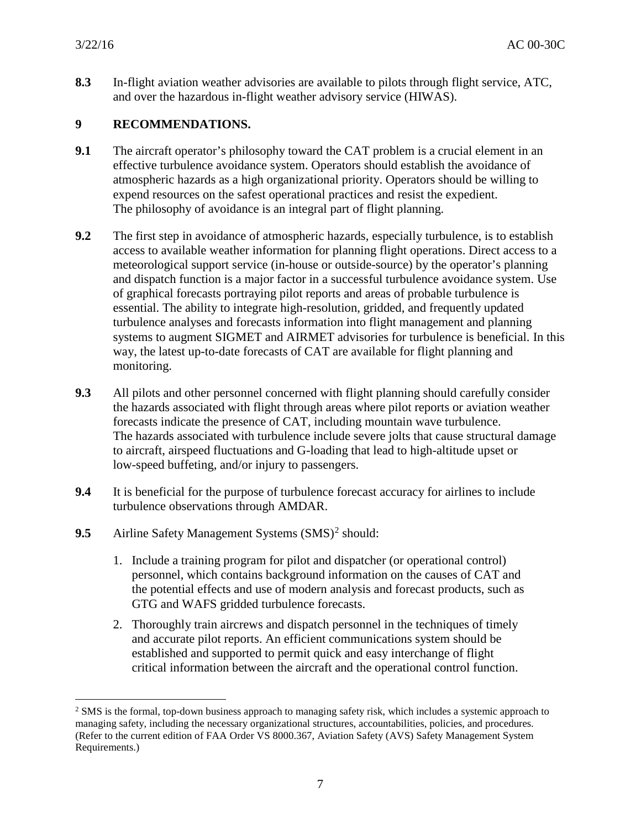$\overline{a}$ 

**8.3** In-flight aviation weather advisories are available to pilots through flight service, ATC, and over the hazardous in-flight weather advisory service (HIWAS).

#### **9 RECOMMENDATIONS.**

- **9.1** The aircraft operator's philosophy toward the CAT problem is a crucial element in an effective turbulence avoidance system. Operators should establish the avoidance of atmospheric hazards as a high organizational priority. Operators should be willing to expend resources on the safest operational practices and resist the expedient. The philosophy of avoidance is an integral part of flight planning.
- **9.2** The first step in avoidance of atmospheric hazards, especially turbulence, is to establish access to available weather information for planning flight operations. Direct access to a meteorological support service (in-house or outside-source) by the operator's planning and dispatch function is a major factor in a successful turbulence avoidance system. Use of graphical forecasts portraying pilot reports and areas of probable turbulence is essential. The ability to integrate high-resolution, gridded, and frequently updated turbulence analyses and forecasts information into flight management and planning systems to augment SIGMET and AIRMET advisories for turbulence is beneficial. In this way, the latest up-to-date forecasts of CAT are available for flight planning and monitoring.
- **9.3** All pilots and other personnel concerned with flight planning should carefully consider the hazards associated with flight through areas where pilot reports or aviation weather forecasts indicate the presence of CAT, including mountain wave turbulence. The hazards associated with turbulence include severe jolts that cause structural damage to aircraft, airspeed fluctuations and G-loading that lead to high-altitude upset or low-speed buffeting, and/or injury to passengers.
- **9.4** It is beneficial for the purpose of turbulence forecast accuracy for airlines to include turbulence observations through AMDAR.
- **9.5** Airline Safety Management Systems (SMS)<sup>[2](#page-6-0)</sup> should:
	- 1. Include a training program for pilot and dispatcher (or operational control) personnel, which contains background information on the causes of CAT and the potential effects and use of modern analysis and forecast products, such as GTG and WAFS gridded turbulence forecasts.
	- 2. Thoroughly train aircrews and dispatch personnel in the techniques of timely and accurate pilot reports. An efficient communications system should be established and supported to permit quick and easy interchange of flight critical information between the aircraft and the operational control function.

<span id="page-6-0"></span><sup>&</sup>lt;sup>2</sup> SMS is the formal, top-down business approach to managing safety risk, which includes a systemic approach to managing safety, including the necessary organizational structures, accountabilities, policies, and procedures. (Refer to the current edition of FAA Order VS 8000.367, Aviation Safety (AVS) Safety Management System Requirements.)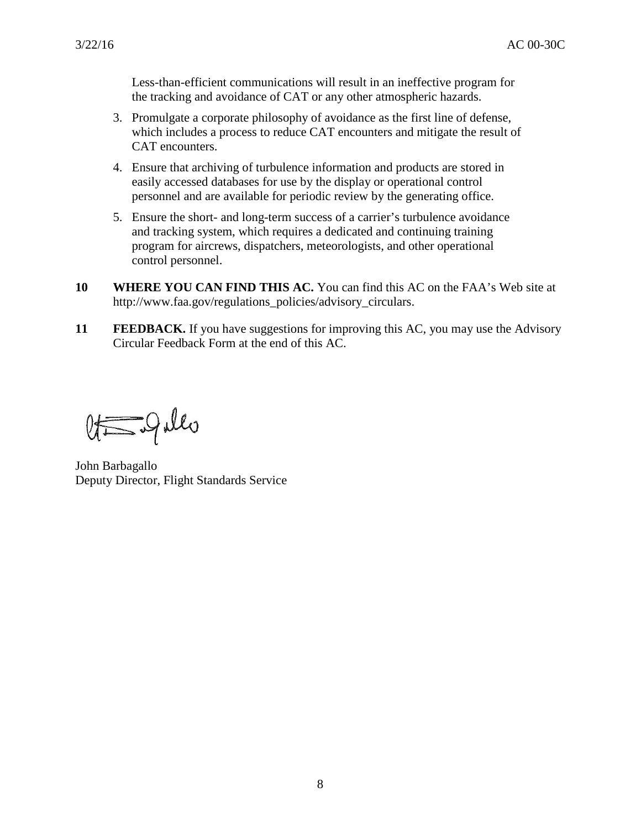Less-than-efficient communications will result in an ineffective program for the tracking and avoidance of CAT or any other atmospheric hazards.

- 3. Promulgate a corporate philosophy of avoidance as the first line of defense, which includes a process to reduce CAT encounters and mitigate the result of CAT encounters.
- 4. Ensure that archiving of turbulence information and products are stored in easily accessed databases for use by the display or operational control personnel and are available for periodic review by the generating office.
- 5. Ensure the short- and long-term success of a carrier's turbulence avoidance and tracking system, which requires a dedicated and continuing training program for aircrews, dispatchers, meteorologists, and other operational control personnel.
- **10 WHERE YOU CAN FIND THIS AC.** You can find this AC on the FAA's Web site at http://www.faa.gov/regulations\_policies/advisory\_circulars.
- **11 FEEDBACK.** If you have suggestions for improving this AC, you may use the Advisory Circular Feedback Form at the end of this AC.

 $Q_{\overline{\overline{S}}}\overline{\overline{S}}$ 

John Barbagallo Deputy Director, Flight Standards Service